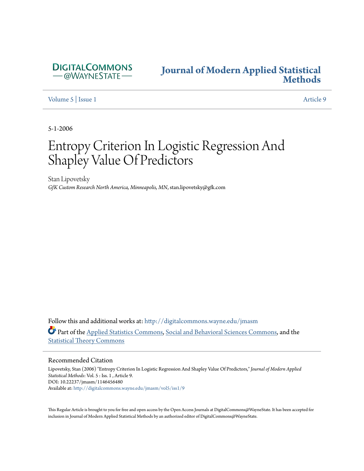

# **[Journal of Modern Applied Statistical](http://digitalcommons.wayne.edu/jmasm?utm_source=digitalcommons.wayne.edu%2Fjmasm%2Fvol5%2Fiss1%2F9&utm_medium=PDF&utm_campaign=PDFCoverPages) [Methods](http://digitalcommons.wayne.edu/jmasm?utm_source=digitalcommons.wayne.edu%2Fjmasm%2Fvol5%2Fiss1%2F9&utm_medium=PDF&utm_campaign=PDFCoverPages)**

[Volume 5](http://digitalcommons.wayne.edu/jmasm/vol5?utm_source=digitalcommons.wayne.edu%2Fjmasm%2Fvol5%2Fiss1%2F9&utm_medium=PDF&utm_campaign=PDFCoverPages) | [Issue 1](http://digitalcommons.wayne.edu/jmasm/vol5/iss1?utm_source=digitalcommons.wayne.edu%2Fjmasm%2Fvol5%2Fiss1%2F9&utm_medium=PDF&utm_campaign=PDFCoverPages) [Article 9](http://digitalcommons.wayne.edu/jmasm/vol5/iss1/9?utm_source=digitalcommons.wayne.edu%2Fjmasm%2Fvol5%2Fiss1%2F9&utm_medium=PDF&utm_campaign=PDFCoverPages)

5-1-2006

# Entropy Criterion In Logistic Regression And Shapley Value Of Predictors

Stan Lipovetsky *GfK Custom Research North America, Minneapolis, MN*, stan.lipovetsky@gfk.com

Follow this and additional works at: [http://digitalcommons.wayne.edu/jmasm](http://digitalcommons.wayne.edu/jmasm?utm_source=digitalcommons.wayne.edu%2Fjmasm%2Fvol5%2Fiss1%2F9&utm_medium=PDF&utm_campaign=PDFCoverPages) Part of the [Applied Statistics Commons](http://network.bepress.com/hgg/discipline/209?utm_source=digitalcommons.wayne.edu%2Fjmasm%2Fvol5%2Fiss1%2F9&utm_medium=PDF&utm_campaign=PDFCoverPages), [Social and Behavioral Sciences Commons,](http://network.bepress.com/hgg/discipline/316?utm_source=digitalcommons.wayne.edu%2Fjmasm%2Fvol5%2Fiss1%2F9&utm_medium=PDF&utm_campaign=PDFCoverPages) and the [Statistical Theory Commons](http://network.bepress.com/hgg/discipline/214?utm_source=digitalcommons.wayne.edu%2Fjmasm%2Fvol5%2Fiss1%2F9&utm_medium=PDF&utm_campaign=PDFCoverPages)

### Recommended Citation

Lipovetsky, Stan (2006) "Entropy Criterion In Logistic Regression And Shapley Value Of Predictors," *Journal of Modern Applied Statistical Methods*: Vol. 5 : Iss. 1 , Article 9. DOI: 10.22237/jmasm/1146456480 Available at: [http://digitalcommons.wayne.edu/jmasm/vol5/iss1/9](http://digitalcommons.wayne.edu/jmasm/vol5/iss1/9?utm_source=digitalcommons.wayne.edu%2Fjmasm%2Fvol5%2Fiss1%2F9&utm_medium=PDF&utm_campaign=PDFCoverPages)

This Regular Article is brought to you for free and open access by the Open Access Journals at DigitalCommons@WayneState. It has been accepted for inclusion in Journal of Modern Applied Statistical Methods by an authorized editor of DigitalCommons@WayneState.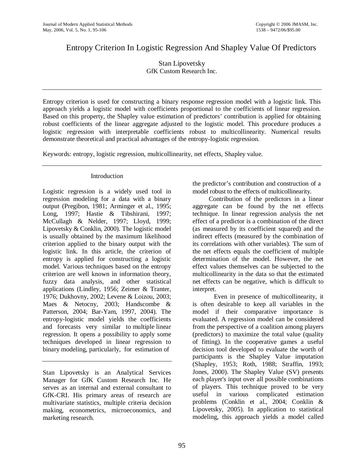# Entropy Criterion In Logistic Regression And Shapley Value Of Predictors

Stan Lipovetsky GfK Custom Research Inc.

Entropy criterion is used for constructing a binary response regression model with a logistic link. This approach yields a logistic model with coefficients proportional to the coefficients of linear regression. Based on this property, the Shapley value estimation of predictors' contribution is applied for obtaining robust coefficients of the linear aggregate adjusted to the logistic model. This procedure produces a logistic regression with interpretable coefficients robust to multicollinearity. Numerical results demonstrate theoretical and practical advantages of the entropy-logistic regression.

Keywords: entropy, logistic regression, multicollinearity, net effects, Shapley value.

## Introduction

Logistic regression is a widely used tool in regression modeling for a data with a binary output (Pregibon, 1981; Arminger et al., 1995; Long, 1997; Hastie & Tibshirani, 1997; McCullagh & Nelder, 1997; Lloyd, 1999; Lipovetsky & Conklin, 2000). The logistic model is usually obtained by the maximum likelihood criterion applied to the binary output with the logistic link. In this article, the criterion of entropy is applied for constructing a logistic model. Various techniques based on the entropy criterion are well known in information theory, fuzzy data analysis, and other statistical applications (Lindley, 1956; Zeimer & Tranter, 1976; Dukhovny, 2002; Levene & Loizou, 2003; Maes & Netocny, 2003; Handscombe & Patterson, 2004; Bar-Yam, 1997, 2004). The entropy-logistic model yields the coefficients and forecasts very similar to multiple linear regression. It opens a possibility to apply some techniques developed in linear regression to binary modeling, particularly, for estimation of

Stan Lipovetsky is an Analytical Services Manager for GfK Custom Research Inc. He serves as an internal and external consultant to GfK-CRI. His primary areas of research are multivariate statistics, multiple criteria decision making, econometrics, microeconomics, and marketing research.

the predictor's contribution and construction of a model robust to the effects of multicollinearity.

 Contribution of the predictors in a linear aggregate can be found by the net effects technique. In linear regression analysis the net effect of a predictor is a combination of the direct (as measured by its coefficient squared) and the indirect effects (measured by the combination of its correlations with other variables). The sum of the net effects equals the coefficient of multiple determination of the model. However, the net effect values themselves can be subjected to the multicollinearity in the data so that the estimated net effects can be negative, which is difficult to interpret.

 Even in presence of multicollinearity, it is often desirable to keep all variables in the model if their comparative importance is evaluated. A regression model can be considered from the perspective of a coalition among players (predictors) to maximize the total value (quality of fitting). In the cooperative games a useful decision tool developed to evaluate the worth of participants is the Shapley Value imputation (Shapley, 1953; Roth, 1988; Straffin, 1993; Jones, 2000). The Shapley Value (SV) presents each player's input over all possible combinations of players. This technique proved to be very useful in various complicated estimation problems (Conklin et al., 2004; Conklin & Lipovetsky, 2005). In application to statistical modeling, this approach yields a model called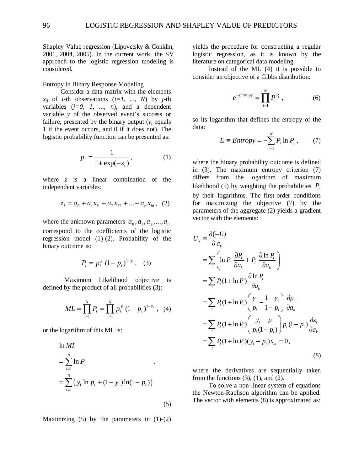Shapley Value regression (Lipovetsky & Conklin, 2001, 2004, 2005). In the current work, the SV approach to the logistic regression modeling is considered.

Entropy in Binary Response Modeling

 Consider a data matrix with the elements  $x_{ii}$  of *i*-th observations  $(i=1, ..., N)$  by *j*-th variables  $(j=0, 1, ..., n)$ , and a dependent variable *y* of the observed event's success or failure, presented by the binary output  $(y_i)$  equals 1 if the event occurs, and 0 if it does not). The logistic probability function can be presented as:

$$
p_i = \frac{1}{1 + \exp(-z_i)},\tag{1}
$$

where *z* is a linear combination of the independent variables:

$$
z_i = a_0 + a_1 x_{i1} + a_2 x_{i2} + \dots + a_n x_{in}, \quad (2)
$$

where the unknown parameters  $a_0$ ,  $a_1$ ,  $a_2$ , ...,  $a_n$ correspond to the coefficients of the logistic regression model (1)-(2). Probability of the binary outcome is:

$$
P_i = p_i^{y_i} (1 - p_i)^{1 - y_i}.
$$
 (3)

 Maximum Likelihood objective is defined by the product of all probabilities (3):

$$
ML = \prod_{i=1}^{N} P_i = \prod_{i=1}^{N} p_i^{y_i} (1 - p_i)^{1 - y_i}, \quad (4)
$$

or the logarithm of this ML is:

$$
\ln ML = \sum_{i=1}^{N} \ln P_{i}
$$
  
=  $\sum_{i=1}^{N} (y_{i} \ln p_{i} + (1 - y_{i}) \ln(1 - p_{i}))$ 

Maximizing  $(5)$  by the parameters in  $(1)-(2)$ 

(5)

yields the procedure for constructing a regular logistic regression, as it is known by the literature on categorical data modeling.

 Instead of the ML (4) it is possible to consider an objective of a Gibbs distribution:

$$
e^{-Entropy} = \prod_{i=1}^{N} P_i^{P_i} , \qquad (6)
$$

so its logarithm that defines the entropy of the data:

$$
E \equiv Entropy = -\sum_{i=1}^{N} P_i \ln P_i , \qquad (7)
$$

where the binary probability outcome is defined in (3). The maximum entropy criterion (7) differs from the logarithm of maximum likelihood (5) by weighting the probabilities  $P_i$ by their logarithms. The first-order conditions for maximizing the objective (7) by the parameters of the aggregate (2) yields a gradient vector with the elements:

$$
U_{k} = \frac{\partial(-E)}{\partial a_{k}}
$$
  
\n
$$
= \sum_{i} \left( \ln P_{i} \frac{\partial P_{i}}{\partial a_{k}} + P_{i} \frac{\partial \ln P_{i}}{\partial a_{k}} \right)
$$
  
\n
$$
= \sum_{i} P_{i} (1 + \ln P_{i}) \frac{\partial \ln P_{i}}{\partial a_{k}}
$$
  
\n
$$
= \sum_{i} P_{i} (1 + \ln P_{i}) \left( \frac{y_{i}}{p_{i}} - \frac{1 - y_{i}}{1 - p_{i}} \right) \frac{\partial p_{i}}{\partial a_{k}}
$$
  
\n
$$
= \sum_{i} P_{i} (1 + \ln P_{i}) \left( \frac{y_{i} - p_{i}}{p_{i} (1 - p_{i})} \right) p_{i} (1 - p_{i}) \frac{\partial z_{i}}{\partial a_{k}}
$$
  
\n
$$
= \sum_{i} P_{i} (1 + \ln P_{i}) (y_{i} - p_{i}) x_{ik} = 0,
$$
  
\n(8)

where the derivatives are sequentially taken from the functions  $(3)$ ,  $(1)$ , and  $(2)$ .

 To solve a non-linear system of equations the Newton-Raphson algorithm can be applied. The vector with elements (8) is approximated as: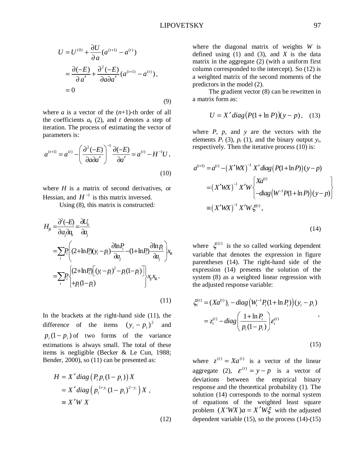$$
U = U^{(0)} + \frac{\partial U}{\partial a} (a^{(t+1)} - a^{(t)})
$$
  
=  $\frac{\partial (-E)}{\partial a'} + \frac{\partial^2 (-E)}{\partial a \partial a'} (a^{(t+1)} - a^{(t)}),$   
= 0 (9)

where *a* is a vector of the  $(n+1)$ -th order of all the coefficients  $a_k$  (2), and *t* denotes a step of iteration. The process of estimating the vector of parameters is:

$$
a^{(t+1)} = a^{(t)} - \left(\frac{\partial^2 (-E)}{\partial a \partial a'}\right)^{-1} \frac{\partial (-E)}{\partial a'} = a^{(t)} - H^{-1}U,
$$
\n(10)

where *H* is a matrix of second derivatives, or Hessian, and  $H^{-1}$  is this matrix inversed.

Using (8), this matrix is constructed:

$$
H_{jk} = \frac{\partial^2 (-E)}{\partial a_j \partial a_k} = \frac{\partial U_k}{\partial a_j}
$$
  
\n
$$
= \sum_i P_i \left( (2 + \ln P_i)(y_i - p_i) \frac{\partial \ln P_i}{\partial a_j} - (1 + \ln P_i) \frac{\partial \ln p_i}{\partial a_j} \right) x_{ik}
$$
  
\n
$$
= \sum_i P_i \left\{ (2 + \ln P_i) \left[ (y_i - p_i)^2 - p_i (1 - p_i) \right] \right\} x_{ij} x_{ik}.
$$
  
\n
$$
+ p_i (1 - p_i)
$$
  
\n(11)

In the brackets at the right-hand side (11), the difference of the items  $(y_i - p_i)^2$  and  $p_i(1 - p_i)$  of two forms of the variance estimations is always small. The total of these items is negligible (Becker & Le Cun, 1988; Bender, 2000), so (11) can be presented as:

$$
H = X' diag (P_i p_i (1 - p_i)) X
$$
  
=  $X' diag (p_i^{1+y_i} (1 - p_i)^{2-y_i}) X$ ,  
\equiv  $X'W X$ 

(12)

where the diagonal matrix of weights *W* is defined using  $(1)$  and  $(3)$ , and  $\overline{X}$  is the data matrix in the aggregate (2) (with a uniform first column corresponded to the intercept). So (12) is a weighted matrix of the second moments of the predictors in the model (2).

 The gradient vector (8) can be rewritten in a matrix form as:

$$
U = X' diag(P(1 + \ln P))(y - p), \quad (13)
$$

where *P*, *p*, and *y* are the vectors with the elements  $P_i$  (3),  $p_i$  (1), and the binary output  $y_i$ , respectively. Then the iterative process (10) is:

$$
a^{(t+1)} = a^{(t)} - (X'WX)^{-1} X' diag(P(1 + \ln P))(y - p)
$$
  
=  $(X'WX)^{-1} X'W \begin{cases} Xa^{(t)} \\ -diag(W^{-1}P(1 + \ln P))(y - p) \end{cases}$   
=  $(X'WX)^{-1} X'W\xi^{(t)},$ 

(14)

(15)

where  $\xi^{(t)}$  is the so called working dependent variable that denotes the expression in figure parentheses (14). The right-hand side of the expression (14) presents the solution of the system (8) as a weighted linear regression with the adjusted response variable:

$$
\xi_i^{(t)} = (Xa^{(t)})_i - diag(W_i^{-1}P_i(1 + \ln P_i))(y_i - p_i)
$$
  
=  $z_i^{(t)} - diag(\frac{1 + \ln P_i}{p_i(1 - p_i)})\varepsilon_i^{(t)}$ ,

where  $z^{(t)} = Xa^{(t)}$  is a vector of the linear aggregate (2),  $\varepsilon^{(t)} = y - p$  is a vector of deviations between the empirical binary response and the theoretical probability (1). The solution (14) corresponds to the normal system of equations of the weighted least square problem  $(X'WX)a = X'W\xi$  with the adjusted dependent variable (15), so the process (14)-(15)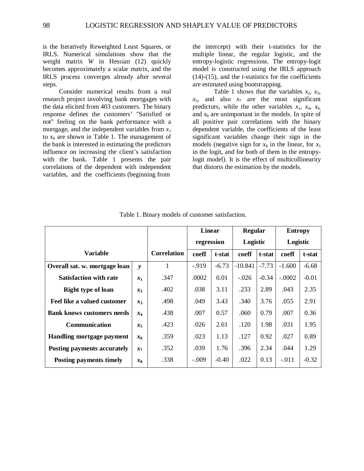is the Iteratively Reweighted Least Squares, or IRLS. Numerical simulations show that the weight matrix *W* in Hessian (12) quickly becomes approximately a scalar matrix, and the IRLS process converges already after several steps.

 Consider numerical results from a real research project involving bank mortgages with the data elicited from 403 customers. The binary response defines the customers' "Satisfied or not" feeling on the bank performance with a mortgage, and the independent variables from  $x_1$ to  $x_8$  are shown in Table 1. The management of the bank is interested in estimating the predictors influence on increasing the client's satisfaction with the bank. Table 1 presents the pair correlations of the dependent with independent variables, and the coefficients (beginning from

the intercept) with their t-statistics for the multiple linear, the regular logistic, and the entropy-logistic regressions. The entropy-logit model is constructed using the IRLS approach (14)-(15), and the *t*-statistics for the coefficients are estimated using bootstrapping.

Table 1 shows that the variables  $x_2$ ,  $x_3$ ,  $x_5$ , and also  $x_7$  are the most significant predictors, while the other variables  $x_1$ ,  $x_4$ ,  $x_6$ , and  $x_8$  are unimportant in the models. In spite of all positive pair correlations with the binary dependent variable, the coefficients of the least significant variables change their sign in the models (negative sign for  $x_8$  in the linear, for  $x_1$ ) in the logit, and for both of them in the entropylogit model). It is the effect of multicollinearity that distorts the estimation by the models.

|                                             |              |                    | Linear     |         | <b>Regular</b> |         | <b>Entropy</b> |         |  |
|---------------------------------------------|--------------|--------------------|------------|---------|----------------|---------|----------------|---------|--|
|                                             |              |                    | regression |         | Logistic       |         | Logistic       |         |  |
| <b>Variable</b>                             |              | <b>Correlation</b> | coeff      | t-stat  | coeff          | t-stat  | coeff          | t-stat  |  |
| Overall sat. w. mortgage loan               | $\mathbf{v}$ |                    | $-919$     | $-6.73$ | $-10.841$      | $-7.73$ | $-1.600$       | $-6.68$ |  |
| <b>Satisfaction with rate</b>               | $x_1$        | .347               | .0002      | 0.01    | $-.026$        | $-0.34$ | $-.0002$       | $-0.01$ |  |
| <b>Right type of loan</b><br>$x_2$          |              | .402               | .038       | 3.11    | .233           | 2.89    | .043           | 2.35    |  |
| Feel like a valued customer<br>$x_3$        |              | .498               | .049       | 3.43    | .340           | 3.76    | .055           | 2.91    |  |
| <b>Bank knows customers needs</b>           | $x_4$        | .438               | .007       | 0.57    | .060           | 0.79    | .007           | 0.36    |  |
| <b>Communication</b>                        | $x_5$        | .423               | .026       | 2.61    | .120           | 1.98    | .031           | 1.95    |  |
| Handling mortgage payment                   | $x_{6}$      | .359               | .023       | 1.13    | .127           | 0.92    | .027           | 0.89    |  |
| <b>Posting payments accurately</b><br>$x_7$ |              | .352               | .039       | 1.76    | .396           | 2.34    | .044           | 1.29    |  |
| <b>Posting payments timely</b>              | $x_8$        | .338               | $-.009$    | $-0.40$ | .022           | 0.13    | $-.011$        | $-0.32$ |  |

Table 1. Binary models of customer satisfaction.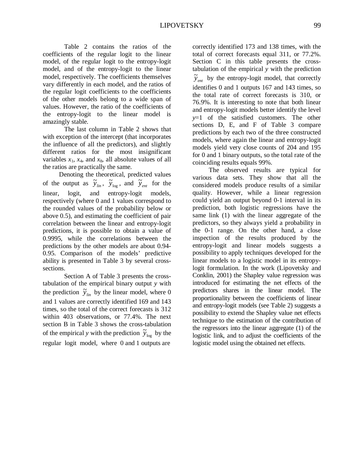Table 2 contains the ratios of the coefficients of the regular logit to the linear model, of the regular logit to the entropy-logit model, and of the entropy-logit to the linear model, respectively. The coefficients themselves vary differently in each model, and the ratios of the regular logit coefficients to the coefficients of the other models belong to a wide span of values. However, the ratio of the coefficients of the entropy-logit to the linear model is amazingly stable.

 The last column in Table 2 shows that with exception of the intercept (that incorporates the influence of all the predictors), and slightly different ratios for the most insignificant variables  $x_1$ ,  $x_4$ , and  $x_8$ , all absolute values of all the ratios are practically the same.

 Denoting the theoretical, predicted values of the output as  $\tilde{y}_{lin}$ ,  $\tilde{y}_{log}$ , and  $\tilde{y}_{ent}$  for the linear, logit, and entropy-logit models, respectively (where 0 and 1 values correspond to the rounded values of the probability below or above 0.5), and estimating the coefficient of pair correlation between the linear and entropy-logit predictions, it is possible to obtain a value of 0.9995, while the correlations between the predictions by the other models are about 0.94- 0.95. Comparison of the models' predictive ability is presented in Table 3 by several crosssections.

 Section A of Table 3 presents the crosstabulation of the empirical binary output *y* with the prediction  $\tilde{y}_{lin}$  by the linear model, where 0 and 1 values are correctly identified 169 and 143 times, so the total of the correct forecasts is 312 within 403 observations, or 77.4%. The next section B in Table 3 shows the cross-tabulation of the empirical *y* with the prediction  $\tilde{y}_{log}$  by the regular logit model, where 0 and 1 outputs are

correctly identified 173 and 138 times, with the total of correct forecasts equal 311, or 77.2%. Section C in this table presents the crosstabulation of the empirical *y* with the prediction  $\widetilde{y}_{ent}$  by the entropy-logit model, that correctly identifies 0 and 1 outputs 167 and 143 times, so the total rate of correct forecasts is 310, or 76.9%. It is interesting to note that both linear and entropy-logit models better identify the level *y*=1 of the satisfied customers. The other sections D, E, and F of Table 3 compare predictions by each two of the three constructed models, where again the linear and entropy-logit models yield very close counts of 204 and 195 for 0 and 1 binary outputs, so the total rate of the coinciding results equals 99%.

 The observed results are typical for various data sets. They show that all the considered models produce results of a similar quality. However, while a linear regression could yield an output beyond 0-1 interval in its prediction, both logistic regressions have the same link (1) with the linear aggregate of the predictors, so they always yield a probability in the 0-1 range. On the other hand, a close inspection of the results produced by the entropy-logit and linear models suggests a possibility to apply techniques developed for the linear models to a logistic model in its entropylogit formulation. In the work (Lipovetsky and Conklin, 2001) the Shapley value regression was introduced for estimating the net effects of the predictors shares in the linear model. The proportionality between the coefficients of linear and entropy-logit models (see Table 2) suggests a possibility to extend the Shapley value net effects technique to the estimation of the contribution of the regressors into the linear aggregate (1) of the logistic link, and to adjust the coefficients of the logistic model using the obtained net effects.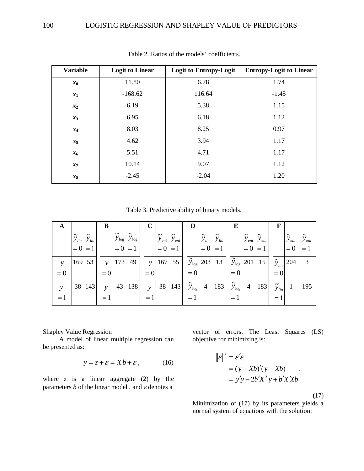| <b>Variable</b> | <b>Logit to Linear</b> | <b>Logit to Entropy-Logit</b> | <b>Entropy-Logit to Linear</b> |
|-----------------|------------------------|-------------------------------|--------------------------------|
| $x_0$           | 11.80                  | 6.78                          | 1.74                           |
| $x_1$           | $-168.62$              | 116.64                        | $-1.45$                        |
| $x_2$           | 6.19                   | 5.38                          | 1.15                           |
| $x_3$           | 6.95                   | 6.18                          | 1.12                           |
| $x_4$           | 8.03                   | 8.25                          | 0.97                           |
| $x_5$           | 4.62                   | 3.94                          | 1.17                           |
| x <sub>6</sub>  | 5.51                   | 4.71                          | 1.17                           |
| $x_7$           | 10.14                  | 9.07                          | 1.12                           |
| $x_8$           | $-2.45$                | $-2.04$                       | 1.20                           |

Table 2. Ratios of the models' coefficients.

Table 3. Predictive ability of binary models.

| A             |                       |                       | B             |                                                                |          |               |           |                                                               | D                            |                       |                                     | E                         |           |                                                                   | $\mathbf F$           |                             |                       |
|---------------|-----------------------|-----------------------|---------------|----------------------------------------------------------------|----------|---------------|-----------|---------------------------------------------------------------|------------------------------|-----------------------|-------------------------------------|---------------------------|-----------|-------------------------------------------------------------------|-----------------------|-----------------------------|-----------------------|
|               | $\widetilde{y}_{lin}$ | $\widetilde{y}_{lin}$ |               | $\widetilde{y}_{\textrm{log}}\ \ \widetilde{y}_{\textrm{log}}$ |          |               |           | $\widetilde{\mathbf{y}}_{ent}$ $\widetilde{\mathbf{y}}_{ent}$ |                              | $\widetilde{y}_{lin}$ | $\widetilde{y}_{\mathit{lin}}$      |                           |           | $\widetilde{\mathcal{Y}}_{ent} \ \ \widetilde{\mathcal{Y}}_{ent}$ |                       | $\widetilde{y}_{ent}$       | $\widetilde{y}_{ent}$ |
|               | $= 0 = 1$             |                       |               | $= 0 = 1$                                                      |          |               | $= 0 = 1$ |                                                               |                              | $= 0$                 | $=1$                                |                           | $= 0 = 1$ |                                                                   |                       | $= 0$                       |                       |
| $\mathcal{Y}$ | 169 53                |                       | $\mathcal{V}$ |                                                                | $173$ 49 | $\mathcal{Y}$ |           | 167, 55                                                       |                              |                       | $\widetilde{y}_{\text{log}}$ 203 13 |                           |           | $\widetilde{y}_{\text{log}}$ 201 15                               |                       | $ \widetilde{y}_{lin} $ 204 | 3                     |
| $= 0$         |                       |                       | $= 0$         |                                                                |          | $= 0$         |           |                                                               | $= 0$                        |                       |                                     | $= 0$                     |           |                                                                   | $= 0$                 |                             |                       |
| $\mathcal{Y}$ | 38 143                |                       | $\mathbf{v}$  |                                                                | 43 138   | $\mathbf{y}$  |           | 38 143                                                        | $\widetilde{y}_{\text{log}}$ |                       | 4 183                               | $\widetilde{y}_{\rm log}$ |           | 4 183                                                             | $\widetilde{y}_{lin}$ |                             | 195                   |
| $=1$          |                       |                       | $=1$          |                                                                |          |               |           |                                                               | $=1$                         |                       |                                     | $=1$                      |           |                                                                   | $= 1$                 |                             |                       |

Shapley Value Regression

 A model of linear multiple regression can be presented as:

$$
y = z + \varepsilon = Xb + \varepsilon, \qquad (16)
$$

where  $z$  is a linear aggregate (2) by the parameters  $b$  of the linear model, and  $\varepsilon$  denotes a

vector of errors. The Least Squares (LS) objective for minimizing is:

$$
\mathcal{E}\Big\|^2 = \mathcal{E}'\mathcal{E}
$$
  
=  $(y - Xb)'(y - Xb)$   
=  $y'y - 2b'X'y + b'X'Xb$ 

(17)

Minimization of (17) by its parameters yields a normal system of equations with the solution: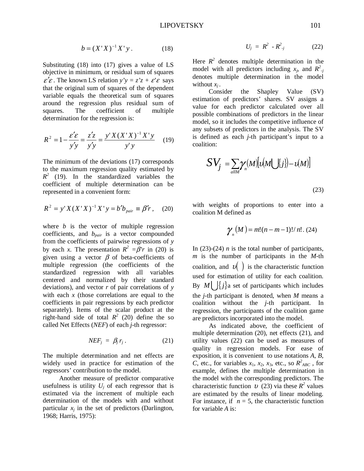$$
b = (X'X)^{-1}X'y.
$$
 (18)

Substituting (18) into (17) gives a value of LS objective in minimum, or residual sum of squares  $\epsilon' \epsilon$ . The known LS relation  $y'y = z'z + \epsilon' \epsilon$  says that the original sum of squares of the dependent variable equals the theoretical sum of squares around the regression plus residual sum of squares. The coefficient of multiple determination for the regression is:

$$
R^{2} = 1 - \frac{\mathcal{E}'\mathcal{E}}{y'y} = \frac{z'z}{y'y} = \frac{y'X(X'X)^{-1}X'y}{y'y}
$$
 (19)

The minimum of the deviations (17) corresponds to the maximum regression quality estimated by  $R^2$  (19). In the standardized variables the coefficient of multiple determination can be represented in a convenient form:

$$
R^{2} = y'X(X'X)^{-1}X'y = b'b_{pair} \equiv \beta'r, \quad (20)
$$

where *b* is the vector of multiple regression coefficients, and *bpair* is a vector compounded from the coefficients of pairwise regressions of *y* by each *x*. The presentation  $R^2 = \beta' r$  in (20) is given using a vector  $\beta$  of beta-coefficients of multiple regression (the coefficients of the standardized regression with all variables centered and normalized by their standard deviations), and vector *r* of pair correlations of *y* with each *x* (those correlations are equal to the coefficients in pair regressions by each predictor separately). Items of the scalar product at the right-hand side of total  $R^2$  (20) define the so called Net Effects (*NEF*) of each *j*-th regressor:

$$
NEF_j = \beta_j r_j. \qquad (21)
$$

The multiple determination and net effects are widely used in practice for estimation of the regressors' contribution to the model.

 Another measure of predictor comparative usefulness is utility  $U_i$  of each regressor that is estimated via the increment of multiple each determination of the models with and without particular  $x_i$  in the set of predictors (Darlington, 1968; Harris, 1975):

$$
U_j = R^2 - R^2_{\ i}
$$
 (22)

Here  $R^2$  denotes multiple determination in the model with all predictors including  $x_j$ , and  $R^2$ , denotes multiple determination in the model without  $x_i$ .

 Consider the Shapley Value (SV) estimation of predictors' shares. SV assigns a value for each predictor calculated over all possible combinations of predictors in the linear model, so it includes the competitive influence of any subsets of predictors in the analysis. The SV is defined as each *j*-th participant's input to a coalition:

$$
SV_j = \sum_{allM} \gamma_n(M) \left[ \nu(M \cup \{j\}) - \nu(M) \right]
$$
\n(23)

with weights of proportions to enter into a coalition M defined as

$$
\gamma_n(M) = m!(n-m-1)!/n!.\ (24)
$$

In  $(23)-(24)$  *n* is the total number of participants, *m* is the number of participants in the *M-*th coalition, and  $v(\cdot)$  is the characteristic function used for estimation of utility for each coalition. By *M*  $\left\{\right\}$ *j* a set of participants which includes the *j*-th participant is denoted, when *M* means a coalition without the *j*-th participant. In regression, the participants of the coalition game are predictors incorporated into the model.

 As indicated above, the coefficient of multiple determination (20), net effects (21), and utility values (22) can be used as measures of quality in regression models. For ease of exposition, it is convenient to use notations *A*, *B*, *C*, etc., for variables  $x_1$ ,  $x_2$ ,  $x_3$ , etc., so  $R^2_{ABC}$ , for example, defines the multiple determination in the model with the corresponding predictors. The characteristic function  $v(23)$  via these  $R^2$  values are estimated by the results of linear modeling. For instance, if  $n = 5$ , the characteristic function for variable *A* is: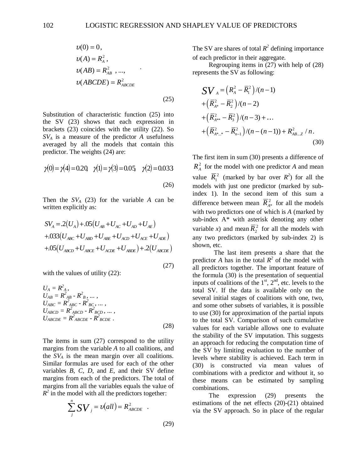$$
v(0) = 0,
$$
  
\n
$$
v(A) = R_A^2,
$$
  
\n
$$
v(AB) = R_{AB}^2, ...,
$$
  
\n
$$
v(ABCDE) = R_{ABCDE}^2
$$
  
\n(25)

Substitution of characteristic function (25) into the SV (23) shows that each expression in brackets (23) coincides with the utility (22). So *SVA* is a measure of the predictor *A* usefulness averaged by all the models that contain this predictor. The weights (24) are:

$$
\gamma(0) = \gamma(4) = 0.2 \quad \gamma(1) = \gamma(3) = 0.05 \quad \gamma(2) = 0.033
$$
\n(26)

Then the  $SV_A$  (23) for the variable *A* can be written explicitly as:

$$
SV_A = .2(U_A) + .05(U_{AB} + U_{AC} + U_{AD} + U_{AE})
$$
  
+.033(U<sub>ABC</sub> + U<sub>ABD</sub> + U<sub>ABE</sub> + U<sub>ACD</sub> + U<sub>ACE</sub> + U<sub>ADE</sub>)  
+.05(U<sub>ABCD</sub> + U<sub>ABCE</sub> + U<sub>ACDE</sub> + U<sub>ABDE</sub>) + .2(U<sub>ABCDE</sub>)

(27)

with the values of utility  $(22)$ :

$$
U_{A} = R_{A}^{2},
$$
  
\n
$$
U_{AB} = R_{AB}^{2} - R_{B}^{2}, ...,
$$
  
\n
$$
U_{ABC} = R_{ABC}^{2} - R_{BC}^{2}, ...,
$$
  
\n
$$
U_{ABCD} = R_{ABCD}^{2} - R_{BCD}^{2}, ...,
$$
  
\n
$$
U_{ABCDE} = R_{ABCDE}^{2} - R_{BCDE}^{2}
$$
 (28)

The items in sum (27) correspond to the utility margins from the variable *A* to all coalitions, and the  $SV_A$  is the mean margin over all coalitions. Similar formulas are used for each of the other variables *B, C, D,* and *E*, and their SV define margins from each of the predictors. The total of margins from all the variables equals the value of  $R^2$  in the model with all the predictors together:

$$
\sum_{j}^{n} \mathbf{S} \mathbf{V}_{j} = v(\text{all}) = R_{\text{ABCDE}}^{2} \quad .
$$
\n(29)

The SV are shares of total  $R^2$  defining importance of each predictor in their aggregate.

 Regrouping items in (27) with help of (28) represents the SV as following:

$$
\begin{split} &\mathbf{S}\mathbf{V}_{A} = \left(R_{A}^{2} - \overline{R}_{1}^{2}\right)/(n-1) \\ &+ \left(\overline{R}_{A^{*}}^{2} - \overline{R}_{2}^{2}\right)/(n-2) \\ &+ \left(\overline{R}_{A^{**}}^{2} - \overline{R}_{3}^{2}\right)/(n-3) + \dots \\ &+ \left(\overline{R}_{A^{*...*}}^{2} - \overline{R}_{n-1}^{2}\right)/(n-(n-1)) + R_{AB...Z}^{2}/n. \end{split} \tag{30}
$$

The first item in sum (30) presents a difference of  $R_{\rm A}^2$  for the model with one predictor *A* and mean value  $\overline{R}_1^2$  (marked by bar over  $R^2$ ) for all the models with just one predictor (marked by subindex 1). In the second item of this sum a difference between mean  $\overline{R}_{A^*}^2$  for all the models with two predictors one of which is *A* (marked by sub-index A\* with asterisk denoting any other variable *x*) and mean  $\overline{R}_2^2$  for all the models with any two predictors (marked by sub-index 2) is shown, etc.

 The last item presents a share that the predictor *A* has in the total  $R^2$  of the model with all predictors together. The important feature of the formula (30) is the presentation of sequential inputs of coalitions of the  $1<sup>st</sup>$ ,  $2<sup>nd</sup>$ , etc. levels to the total SV. If the data is available only on the several initial stages of coalitions with one, two, and some other subsets of variables, it is possible to use (30) for approximation of the partial inputs to the total SV. Comparison of such cumulative values for each variable allows one to evaluate the stability of the SV imputation. This suggests an approach for reducing the computation time of the SV by limiting evaluation to the number of levels where stability is achieved. Each term in (30) is constructed via mean values of combinations with a predictor and without it, so these means can be estimated by sampling combinations.

 The expression (29) presents the estimations of the net effects (20)-(21) obtained via the SV approach. So in place of the regular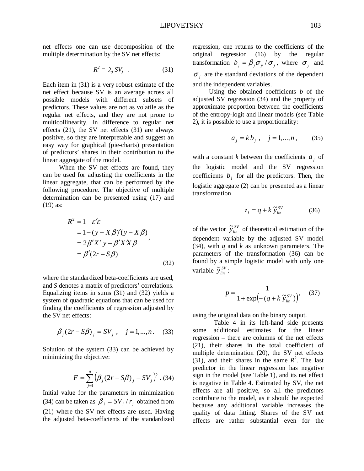net effects one can use decomposition of the multiple determination by the SV net effects:

$$
R^2 = \sum_j SV_j \quad . \tag{31}
$$

Each item in (31) is a very robust estimate of the net effect because SV is an average across all possible models with different subsets of predictors. These values are not as volatile as the regular net effects, and they are not prone to multicollinearity. In difference to regular net effects (21), the SV net effects (31) are always positive, so they are interpretable and suggest an easy way for graphical (pie-charts) presentation of predictors' shares in their contribution to the linear aggregate of the model.

 When the SV net effects are found, they can be used for adjusting the coefficients in the linear aggregate, that can be performed by the following procedure. The objective of multiple determination can be presented using (17) and (19) as:

$$
R2 = 1 - \varepsilon' \varepsilon
$$
  
= 1 - (y - X \beta)'(y - X \beta)  
= 2\beta' X' y - \beta' X' X \beta  
= \beta'(2r - S\beta) (32)

where the standardized beta-coefficients are used, and *S* denotes a matrix of predictors' correlations. Equalizing items in sums (31) and (32) yields a system of quadratic equations that can be used for finding the coefficients of regression adjusted by the SV net effects:

$$
\beta_j (2r - S\beta)_j = SV_j
$$
,  $j = 1,...,n$ . (33)

Solution of the system (33) can be achieved by minimizing the objective:

$$
F = \sum_{j=1}^{n} (\beta_j (2r - S\beta)_j - SV_j)^2
$$
 (34)

Initial value for the parameters in minimization (34) can be taken as  $\beta_i = SV_i / r_i$  obtained from (21) where the SV net effects are used. Having the adjusted beta-coefficients of the standardized regression, one returns to the coefficients of the original regression (16) by the regular transformation  $b_j = \beta_j \sigma_y / \sigma_j$ , where  $\sigma_y$  and  $\sigma_i$  are the standard deviations of the dependent and the independent variables.

 Using the obtained coefficients *b* of the adjusted SV regression (34) and the property of approximate proportion between the coefficients of the entropy-logit and linear models (see Table 2), it is possible to use a proportionality:

$$
a_j = k b_j, \quad j = 1, ..., n, \tag{35}
$$

with a constant *k* between the coefficients  $a_i$  of the logistic model and the SV regression coefficients  $b_j$  for all the predictors. Then, the logistic aggregate (2) can be presented as a linear transformation

$$
z_i = q + k \widetilde{y}_{lin}^{SV} \tag{36}
$$

of the vector  $\tilde{y}_{lin}^{SV}$  of theoretical estimation of the dependent variable by the adjusted SV model (34), with *q* and *k* as unknown parameters. The parameters of the transformation (36) can be found by a simple logistic model with only one variable  $\widetilde{y}_{lin}^{SV}$ :

$$
p = \frac{1}{1 + \exp\left(-\left(q + k \; \widetilde{y}_{lin}^{SV}\right)\right)},\tag{37}
$$

using the original data on the binary output.

 Table 4 in its left-hand side presents some additional estimates for the linear regression – there are columns of the net effects (21), their shares in the total coefficient of multiple determination (20), the SV net effects  $(31)$ , and their shares in the same  $R^2$ . The last predictor in the linear regression has negative sign in the model (see Table 1), and its net effect is negative in Table 4. Estimated by SV, the net effects are all positive, so all the predictors contribute to the model, as it should be expected because any additional variable increases the quality of data fitting. Shares of the SV net effects are rather substantial even for the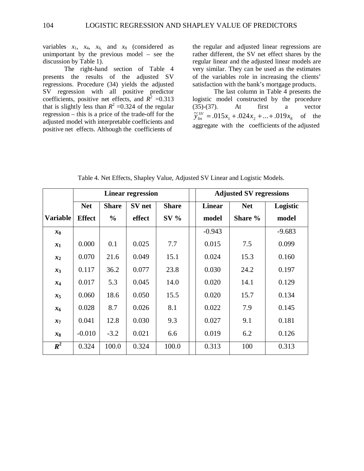variables  $x_1$ ,  $x_4$ ,  $x_6$  and  $x_8$  (considered as unimportant by the previous model – see the discussion by Table 1).

 The right-hand section of Table 4 presents the results of the adjusted SV regressions. Procedure (34) yields the adjusted SV regression with all positive predictor coefficients, positive net effects, and  $R^2 = 0.313$ that is slightly less than  $R^2 = 0.324$  of the regular regression – this is a price of the trade-off for the adjusted model with interpretable coefficients and positive net effects. Although the coefficients of

the regular and adjusted linear regressions are rather different, the SV net effect shares by the regular linear and the adjusted linear models are very similar. They can be used as the estimates of the variables role in increasing the clients' satisfaction with the bank's mortgage products.

The last column in Table 4 presents the logistic model constructed by the procedure (35)-(37). At first a vector  $\widetilde{y}_{lin}^{SV} = .015x_1 + .024x_2 + ... + .019x_8$  of the aggregate with the coefficients of the adjusted

|                 |               |               | <b>Linear regression</b> |              | <b>Adjusted SV regressions</b> |            |          |  |  |  |  |  |
|-----------------|---------------|---------------|--------------------------|--------------|--------------------------------|------------|----------|--|--|--|--|--|
|                 | <b>Net</b>    | <b>Share</b>  | SV net                   | <b>Share</b> | <b>Linear</b>                  | <b>Net</b> | Logistic |  |  |  |  |  |
| <b>Variable</b> | <b>Effect</b> | $\frac{0}{0}$ | effect                   | $SV$ %       | model                          | Share %    | model    |  |  |  |  |  |
| $x_0$           |               |               |                          |              | $-0.943$                       |            | $-9.683$ |  |  |  |  |  |
| $x_1$           | 0.000         | 0.1           | 0.025                    | 7.7          | 0.015                          | 7.5        | 0.099    |  |  |  |  |  |
| $x_2$           | 0.070         | 21.6          | 0.049                    | 15.1         | 0.024                          | 15.3       | 0.160    |  |  |  |  |  |
| $x_3$           | 0.117         | 36.2          | 0.077                    | 23.8         | 0.030                          | 24.2       | 0.197    |  |  |  |  |  |
| $x_4$           | 0.017         | 5.3           | 0.045                    | 14.0         | 0.020                          | 14.1       | 0.129    |  |  |  |  |  |
| $x_5$           | 0.060         | 18.6          | 0.050                    | 15.5         | 0.020                          | 15.7       | 0.134    |  |  |  |  |  |
| $x_{6}$         | 0.028         | 8.7           | 0.026                    | 8.1          | 0.022                          | 7.9        | 0.145    |  |  |  |  |  |
| $x_7$           | 0.041         | 12.8          | 0.030                    | 9.3          | 0.027                          | 9.1        | 0.181    |  |  |  |  |  |
| $x_8$           | $-0.010$      | $-3.2$        | 0.021                    | 6.6          | 0.019                          | 6.2        | 0.126    |  |  |  |  |  |
| $R^2$           | 0.324         | 100.0         | 0.324                    | 100.0        | 0.313                          | 100        | 0.313    |  |  |  |  |  |

Table 4. Net Effects, Shapley Value, Adjusted SV Linear and Logistic Models.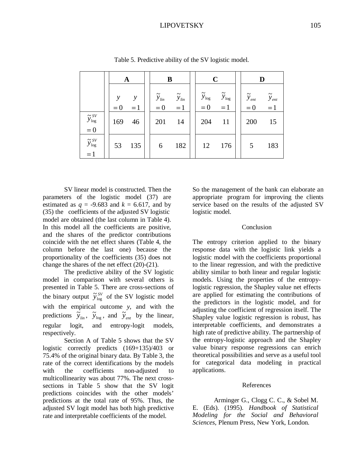## LIPOVETSKY 105

|                                                        |                        | A         |  | B                                       |                                        |  | $\mathbf C$                           |                                      |  | D                                     |                               |  |
|--------------------------------------------------------|------------------------|-----------|--|-----------------------------------------|----------------------------------------|--|---------------------------------------|--------------------------------------|--|---------------------------------------|-------------------------------|--|
|                                                        | $\mathcal{V}$<br>$= 0$ | у<br>$=1$ |  | $\widetilde{y}_{\mathit{lin}}$<br>$= 0$ | $\widetilde{y}_{\mathit{lin}}$<br>$=1$ |  | $\widetilde{y}_{\text{log}}$<br>$= 0$ | $\widetilde{y}_{\text{log}}$<br>$=1$ |  | $\widetilde{y}_{\text{ent}}$<br>$= 0$ | $\widetilde{y}_{ent}$<br>$=1$ |  |
| $\widetilde{y}^{\,SV}_{\, \rm log}$<br>$= 0$           | 169                    | 46        |  | 201                                     | 14                                     |  | 204                                   | 11                                   |  | 200                                   | 15                            |  |
| $\widetilde{\mathbf{y}}_{\text{log}}^{\,\,SV}$<br>$=1$ | 53                     | 135       |  | 6                                       | 182                                    |  | 12                                    | 176                                  |  | 5                                     | 183                           |  |

Table 5. Predictive ability of the SV logistic model.

SV linear model is constructed. Then the parameters of the logistic model (37) are estimated as  $q = -9.683$  and  $k = 6.617$ , and by (35) the coefficients of the adjusted SV logistic model are obtained (the last column in Table 4). In this model all the coefficients are positive, and the shares of the predictor contributions coincide with the net effect shares (Table 4, the column before the last one) because the proportionality of the coefficients (35) does not change the shares of the net effect (20)-(21).

 The predictive ability of the SV logistic model in comparison with several others is presented in Table 5. There are cross-sections of the binary output  $\tilde{y}_{\text{log}}^{SV}$  of the SV logistic model with the empirical outcome *y*, and with the predictions  $\overrightarrow{y}_{lin}$ ,  $\overrightarrow{y}_{log}$ , and  $\overrightarrow{y}_{ent}$  by the linear, regular logit, and entropy-logit models, respectively.

 Section A of Table 5 shows that the SV logistic correctly predicts (169+135)/403 or 75.4% of the original binary data. By Table 3, the rate of the correct identifications by the models with the coefficients non-adjusted to multicollinearity was about 77%. The next crosssections in Table 5 show that the SV logit predictions coincides with the other models' predictions at the total rate of 95%. Thus, the adjusted SV logit model has both high predictive rate and interpretable coefficients of the model.

So the management of the bank can elaborate an appropriate program for improving the clients service based on the results of the adjusted SV logistic model.

#### **Conclusion**

The entropy criterion applied to the binary response data with the logistic link yields a logistic model with the coefficients proportional to the linear regression, and with the predictive ability similar to both linear and regular logistic models. Using the properties of the entropylogistic regression, the Shapley value net effects are applied for estimating the contributions of the predictors in the logistic model, and for adjusting the coefficient of regression itself. The Shapley value logistic regression is robust, has interpretable coefficients, and demonstrates a high rate of predictive ability. The partnership of the entropy-logistic approach and the Shapley value binary response regressions can enrich theoretical possibilities and serve as a useful tool for categorical data modeling in practical applications.

#### References

Arminger G., Clogg C. C., & Sobel M. E. (Eds). (1995). *Handbook of Statistical Modeling for the Social and Behavioral Sciences*, Plenum Press, New York, London.